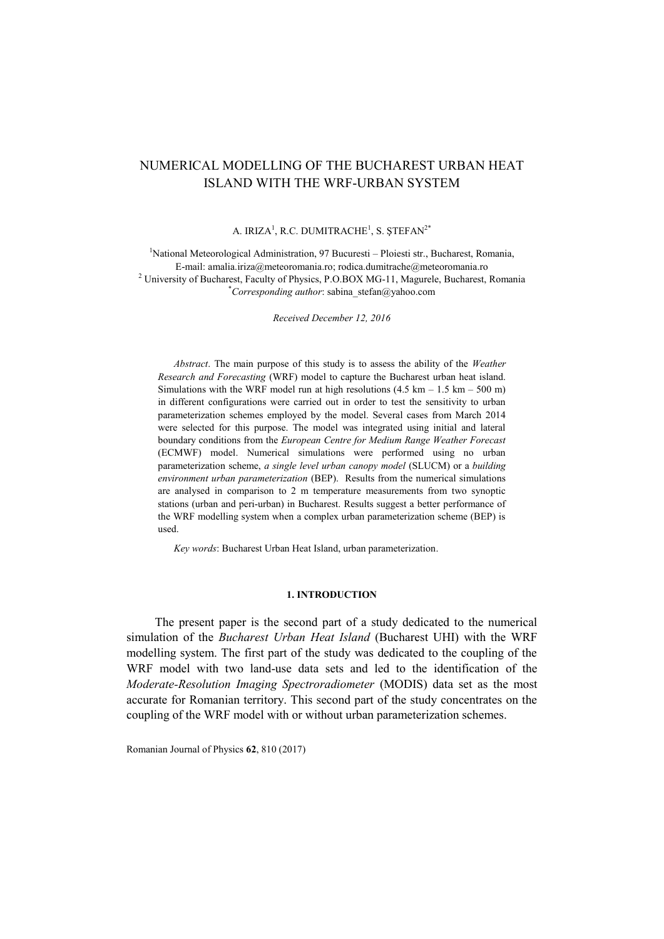# NUMERICAL MODELLING OF THE BUCHAREST URBAN HEAT ISLAND WITH THE WRF-URBAN SYSTEM

#### A. IRIZA $^1$ , R.C. DUMITRACHE<sup>1</sup>, S. ȘTEFAN $^{2*}$

<sup>1</sup>National Meteorological Administration, 97 Bucuresti – Ploiesti str., Bucharest, Romania, E-mail: amalia.iriza@meteoromania.ro; rodica.dumitrache@meteoromania.ro <sup>2</sup> University of Bucharest, Faculty of Physics, P.O.BOX MG-11, Magurele, Bucharest, Romania \**Corresponding author*: [sabina\\_stefan@yahoo.com](mailto:sabina_stefan@yahoo.com)

*Received December 12, 2016*

*Abstract*. The main purpose of this study is to assess the ability of the *Weather Research and Forecasting* (WRF) model to capture the Bucharest urban heat island. Simulations with the WRF model run at high resolutions  $(4.5 \text{ km} - 1.5 \text{ km} - 500 \text{ m})$ in different configurations were carried out in order to test the sensitivity to urban parameterization schemes employed by the model. Several cases from March 2014 were selected for this purpose. The model was integrated using initial and lateral boundary conditions from the *European Centre for Medium Range Weather Forecast* (ECMWF) model. Numerical simulations were performed using no urban parameterization scheme, *a single level urban canopy model* (SLUCM) or a *building environment urban parameterization* (BEP). Results from the numerical simulations are analysed in comparison to 2 m temperature measurements from two synoptic stations (urban and peri-urban) in Bucharest. Results suggest a better performance of the WRF modelling system when a complex urban parameterization scheme (BEP) is used.

*Key words*: Bucharest Urban Heat Island, urban parameterization.

#### **1. INTRODUCTION**

The present paper is the second part of a study dedicated to the numerical simulation of the *Bucharest Urban Heat Island* (Bucharest UHI) with the WRF modelling system. The first part of the study was dedicated to the coupling of the WRF model with two land-use data sets and led to the identification of the *Moderate-Resolution Imaging Spectroradiometer* (MODIS) data set as the most accurate for Romanian territory. This second part of the study concentrates on the coupling of the WRF model with or without urban parameterization schemes.

Romanian Journal of Physics **62**, 810 (2017)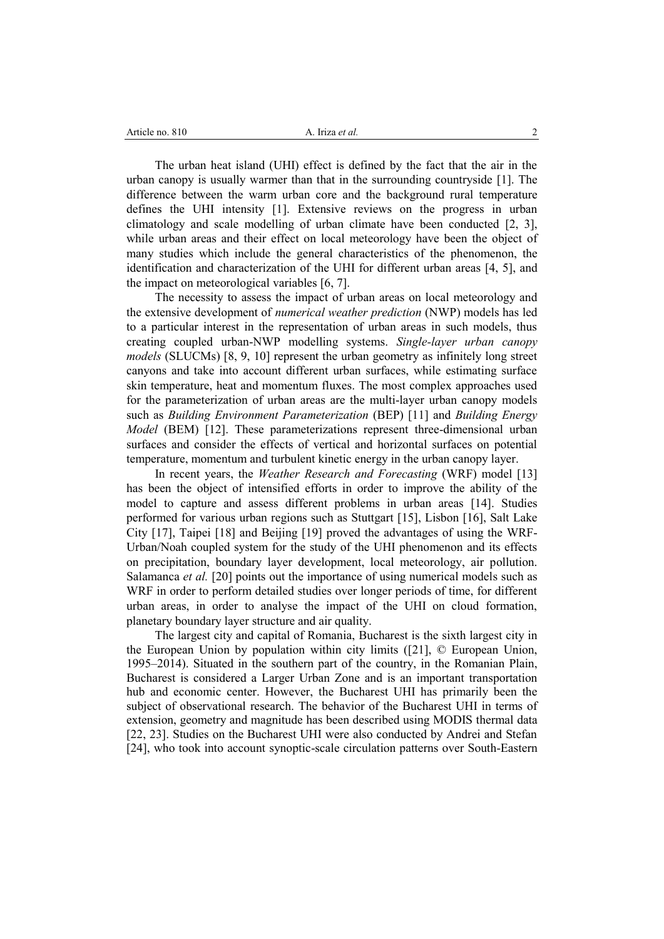| Article no. 810 | Iriza <i>et al.</i> |  |
|-----------------|---------------------|--|
|                 |                     |  |

The urban heat island (UHI) effect is defined by the fact that the air in the urban canopy is usually warmer than that in the surrounding countryside [1]. The difference between the warm urban core and the background rural temperature defines the UHI intensity [1]. Extensive reviews on the progress in urban climatology and scale modelling of urban climate have been conducted [2, 3], while urban areas and their effect on local meteorology have been the object of many studies which include the general characteristics of the phenomenon, the identification and characterization of the UHI for different urban areas [4, 5], and the impact on meteorological variables [6, 7].

The necessity to assess the impact of urban areas on local meteorology and the extensive development of *numerical weather prediction* (NWP) models has led to a particular interest in the representation of urban areas in such models, thus creating coupled urban-NWP modelling systems. *Single-layer urban canopy models* (SLUCMs) [8, 9, 10] represent the urban geometry as infinitely long street canyons and take into account different urban surfaces, while estimating surface skin temperature, heat and momentum fluxes. The most complex approaches used for the parameterization of urban areas are the multi-layer urban canopy models such as *Building Environment Parameterization* (BEP) [11] and *Building Energy Model* (BEM) [12]. These parameterizations represent three-dimensional urban surfaces and consider the effects of vertical and horizontal surfaces on potential temperature, momentum and turbulent kinetic energy in the urban canopy layer.

In recent years, the *Weather Research and Forecasting* (WRF) model [13] has been the object of intensified efforts in order to improve the ability of the model to capture and assess different problems in urban areas [14]. Studies performed for various urban regions such as Stuttgart [15], Lisbon [16], Salt Lake City [17], Taipei [18] and Beijing [19] proved the advantages of using the WRF-Urban/Noah coupled system for the study of the UHI phenomenon and its effects on precipitation, boundary layer development, local meteorology, air pollution. Salamanca *et al.* [20] points out the importance of using numerical models such as WRF in order to perform detailed studies over longer periods of time, for different urban areas, in order to analyse the impact of the UHI on cloud formation, planetary boundary layer structure and air quality.

The largest city and capital of Romania, Bucharest is the sixth largest city in the European Union by population within city limits ([21], © European Union, 1995–2014). Situated in the southern part of the country, in the Romanian Plain, Bucharest is considered a Larger Urban Zone and is an important transportation hub and economic center. However, the Bucharest UHI has primarily been the subject of observational research. The behavior of the Bucharest UHI in terms of extension, geometry and magnitude has been described using MODIS thermal data [22, 23]. Studies on the Bucharest UHI were also conducted by Andrei and Stefan [24], who took into account synoptic-scale circulation patterns over South-Eastern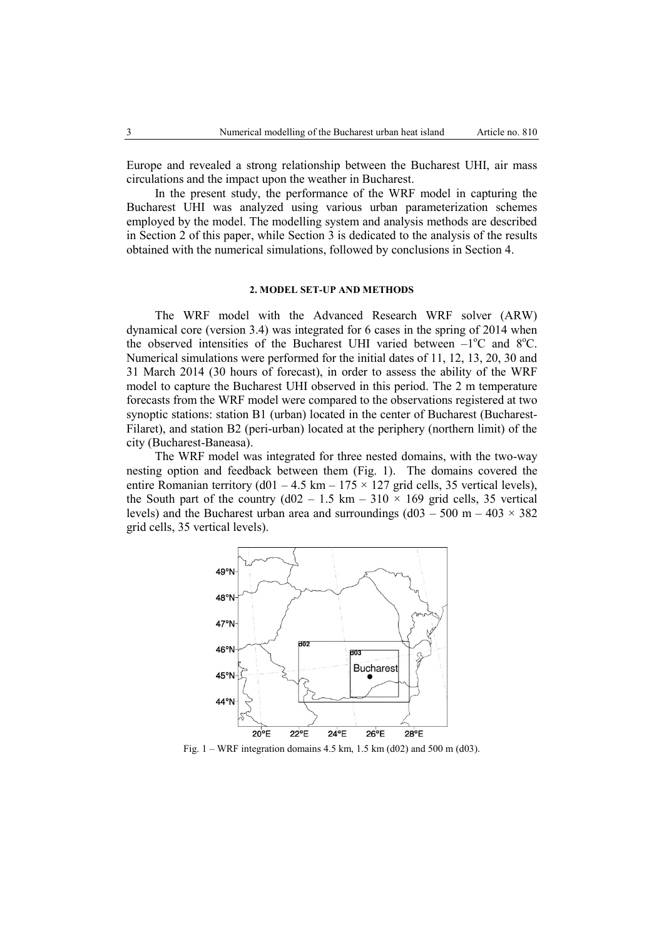Europe and revealed a strong relationship between the Bucharest UHI, air mass circulations and the impact upon the weather in Bucharest.

In the present study, the performance of the WRF model in capturing the Bucharest UHI was analyzed using various urban parameterization schemes employed by the model. The modelling system and analysis methods are described in Section 2 of this paper, while Section 3 is dedicated to the analysis of the results obtained with the numerical simulations, followed by conclusions in Section 4.

### **2. MODEL SET-UP AND METHODS**

The WRF model with the Advanced Research WRF solver (ARW) dynamical core (version 3.4) was integrated for 6 cases in the spring of 2014 when the observed intensities of the Bucharest UHI varied between  $-1^{\circ}C$  and  $8^{\circ}C$ . Numerical simulations were performed for the initial dates of 11, 12, 13, 20, 30 and 31 March 2014 (30 hours of forecast), in order to assess the ability of the WRF model to capture the Bucharest UHI observed in this period. The 2 m temperature forecasts from the WRF model were compared to the observations registered at two synoptic stations: station B1 (urban) located in the center of Bucharest (Bucharest-Filaret), and station B2 (peri-urban) located at the periphery (northern limit) of the city (Bucharest-Baneasa).

The WRF model was integrated for three nested domains, with the two-way nesting option and feedback between them (Fig. 1). The domains covered the entire Romanian territory (d01 – 4.5 km – 175  $\times$  127 grid cells, 35 vertical levels), the South part of the country ( $d02 - 1.5$  km – 310  $\times$  169 grid cells, 35 vertical levels) and the Bucharest urban area and surroundings  $(d03 - 500 \text{ m} - 403 \times 382 \text{ m})$ grid cells, 35 vertical levels).



Fig. 1 – WRF integration domains 4.5 km, 1.5 km (d02) and 500 m (d03).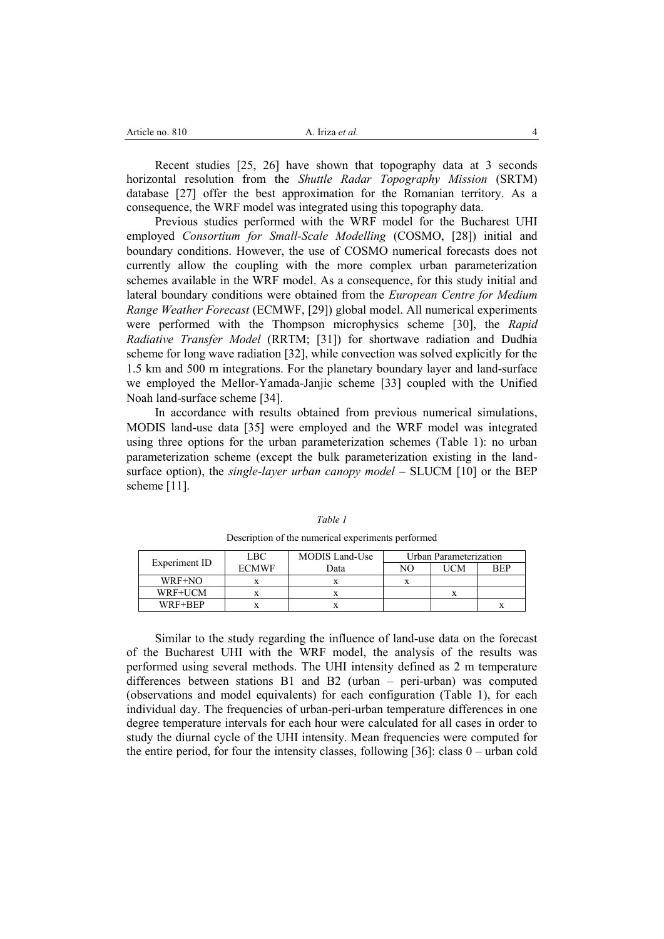| Article no. 810 | Iriza <i>et al.</i> |  |
|-----------------|---------------------|--|
|                 |                     |  |

Recent studies [25, 26] have shown that topography data at 3 seconds horizontal resolution from the *Shuttle Radar Topography Mission* (SRTM) database [27] offer the best approximation for the Romanian territory. As a consequence, the WRF model was integrated using this topography data.

Previous studies performed with the WRF model for the Bucharest UHI employed *Consortium for Small-Scale Modelling* (COSMO, [28]) initial and boundary conditions. However, the use of COSMO numerical forecasts does not currently allow the coupling with the more complex urban parameterization schemes available in the WRF model. As a consequence, for this study initial and lateral boundary conditions were obtained from the *European Centre for Medium Range Weather Forecast* (ECMWF, [29]) global model. All numerical experiments were performed with the Thompson microphysics scheme [30], the *Rapid Radiative Transfer Model* (RRTM; [31]) for shortwave radiation and Dudhia scheme for long wave radiation [32], while convection was solved explicitly for the 1.5 km and 500 m integrations. For the planetary boundary layer and land-surface we employed the Mellor-Yamada-Janjic scheme [33] coupled with the Unified Noah land-surface scheme [34].

In accordance with results obtained from previous numerical simulations, MODIS land-use data [35] were employed and the WRF model was integrated using three options for the urban parameterization schemes (Table 1): no urban parameterization scheme (except the bulk parameterization existing in the landsurface option), the *single-layer urban canopy model* – SLUCM [10] or the BEP scheme [11].

|               | LBC.         | Urban Parameterization<br><b>MODIS</b> Land-Use |    |     |            |
|---------------|--------------|-------------------------------------------------|----|-----|------------|
| Experiment ID | <b>ECMWF</b> | Data                                            | NΟ | UCM | <b>REP</b> |
| WRF+NO        |              |                                                 |    |     |            |
| WRF+UCM       |              |                                                 |    |     |            |
| WRF+BEP       |              |                                                 |    |     |            |

*Table 1* Description of the numerical experiments performed

Similar to the study regarding the influence of land-use data on the forecast of the Bucharest UHI with the WRF model, the analysis of the results was performed using several methods. The UHI intensity defined as 2 m temperature differences between stations B1 and B2 (urban – peri-urban) was computed (observations and model equivalents) for each configuration (Table 1), for each individual day. The frequencies of urban-peri-urban temperature differences in one degree temperature intervals for each hour were calculated for all cases in order to study the diurnal cycle of the UHI intensity. Mean frequencies were computed for the entire period, for four the intensity classes, following [36]: class 0 – urban cold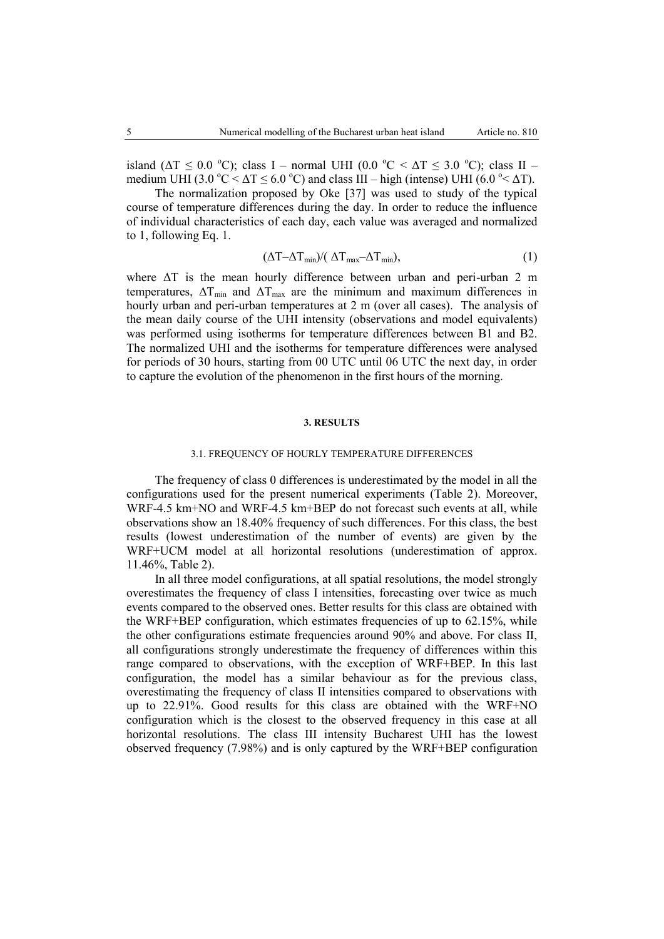island ( $\Delta T \le 0.0$  °C); class I – normal UHI (0.0 °C <  $\Delta T \le 3.0$  °C); class II – medium UHI (3.0 °C  $\leq$   $\Delta$ T  $\leq$  6.0 °C) and class III – high (intense) UHI (6.0 °  $\leq$   $\Delta$ T).

The normalization proposed by Oke [37] was used to study of the typical course of temperature differences during the day. In order to reduce the influence of individual characteristics of each day, each value was averaged and normalized to 1, following Eq. 1.

$$
(\Delta T - \Delta T_{\min}) / (\Delta T_{\max} - \Delta T_{\min}), \qquad (1)
$$

where ΔT is the mean hourly difference between urban and peri-urban 2 m temperatures,  $\Delta T_{min}$  and  $\Delta T_{max}$  are the minimum and maximum differences in hourly urban and peri-urban temperatures at 2 m (over all cases). The analysis of the mean daily course of the UHI intensity (observations and model equivalents) was performed using isotherms for temperature differences between B1 and B2. The normalized UHI and the isotherms for temperature differences were analysed for periods of 30 hours, starting from 00 UTC until 06 UTC the next day, in order to capture the evolution of the phenomenon in the first hours of the morning.

#### **3. RESULTS**

#### 3.1. FREQUENCY OF HOURLY TEMPERATURE DIFFERENCES

The frequency of class 0 differences is underestimated by the model in all the configurations used for the present numerical experiments (Table 2). Moreover, WRF-4.5 km+NO and WRF-4.5 km+BEP do not forecast such events at all, while observations show an 18.40% frequency of such differences. For this class, the best results (lowest underestimation of the number of events) are given by the WRF+UCM model at all horizontal resolutions (underestimation of approx. 11.46%, Table 2).

In all three model configurations, at all spatial resolutions, the model strongly overestimates the frequency of class I intensities, forecasting over twice as much events compared to the observed ones. Better results for this class are obtained with the WRF+BEP configuration, which estimates frequencies of up to 62.15%, while the other configurations estimate frequencies around 90% and above. For class II, all configurations strongly underestimate the frequency of differences within this range compared to observations, with the exception of WRF+BEP. In this last configuration, the model has a similar behaviour as for the previous class, overestimating the frequency of class II intensities compared to observations with up to 22.91%. Good results for this class are obtained with the WRF+NO configuration which is the closest to the observed frequency in this case at all horizontal resolutions. The class III intensity Bucharest UHI has the lowest observed frequency (7.98%) and is only captured by the WRF+BEP configuration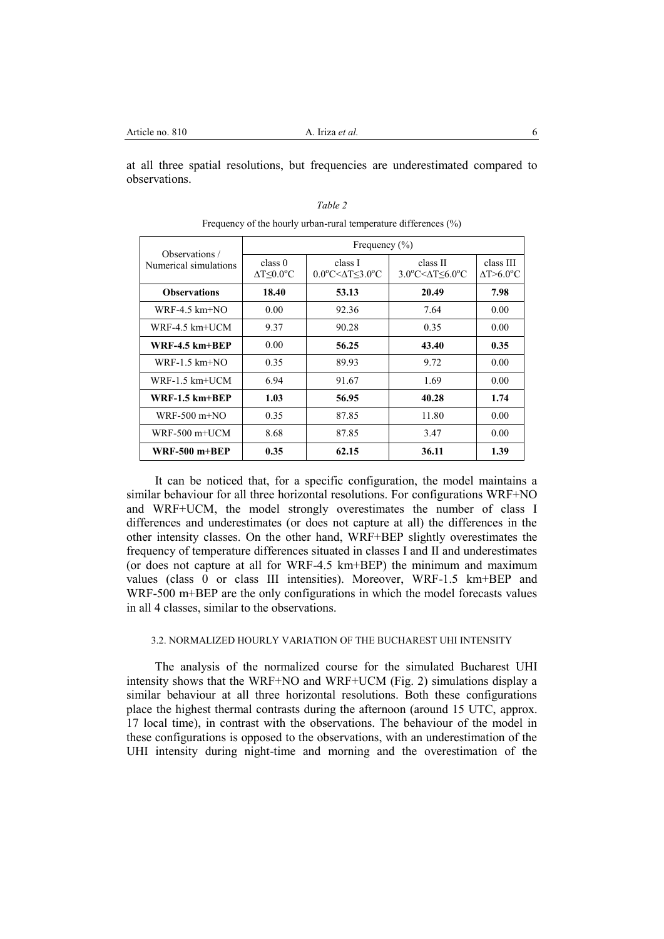at all three spatial resolutions, but frequencies are underestimated compared to observations.

| Observations /        | Frequency $(\% )$                             |                                              |                                                            |                                              |
|-----------------------|-----------------------------------------------|----------------------------------------------|------------------------------------------------------------|----------------------------------------------|
| Numerical simulations | class 0<br>$\Delta T \leq 0.0$ <sup>o</sup> C | class I<br>$0.0^{\circ}$ C< $\Delta$ T<3.0°C | class II<br>$3.0^{\circ}$ C $\leq$ $\Delta$ T $\leq$ 6.0°C | class III<br>$\Delta T > 6.0$ <sup>o</sup> C |
| <b>Observations</b>   | 18.40                                         | 53.13                                        | 20.49                                                      | 7.98                                         |
| $WRF-4.5 km+NO$       | 0.00                                          | 92.36                                        | 7.64                                                       | 0.00                                         |
| $WRF-4.5$ km $+UCM$   | 9.37                                          | 90.28                                        | 0.35                                                       | 0.00                                         |
| $WRF-4.5 km+BEP$      | 0.00                                          | 56.25                                        | 43.40                                                      | 0.35                                         |
| $WRF-1.5$ km $+NO$    | 0.35                                          | 89.93                                        | 9.72                                                       | 0.00                                         |
| $WRF-1.5$ km+UCM      | 6.94                                          | 91.67                                        | 1.69                                                       | 0.00                                         |
| $WRF-1.5$ km $+$ REP  | 1.03                                          | 56.95                                        | 40.28                                                      | 1.74                                         |
| $WRF-500$ m+NO        | 0.35                                          | 87.85                                        | 11.80                                                      | 0.00                                         |
| $WRF-500$ m+UCM       | 8.68                                          | 87.85                                        | 3.47                                                       | 0.00                                         |
| $WRF-500 m+BEP$       | 0.35                                          | 62.15                                        | 36.11                                                      | 1.39                                         |

*Table 2* Frequency of the hourly urban-rural temperature differences (%)

It can be noticed that, for a specific configuration, the model maintains a similar behaviour for all three horizontal resolutions. For configurations WRF+NO and WRF+UCM, the model strongly overestimates the number of class I differences and underestimates (or does not capture at all) the differences in the other intensity classes. On the other hand, WRF+BEP slightly overestimates the frequency of temperature differences situated in classes I and II and underestimates (or does not capture at all for WRF-4.5 km+BEP) the minimum and maximum values (class 0 or class III intensities). Moreover, WRF-1.5 km+BEP and WRF-500 m+BEP are the only configurations in which the model forecasts values in all 4 classes, similar to the observations.

# 3.2. NORMALIZED HOURLY VARIATION OF THE BUCHAREST UHI INTENSITY

The analysis of the normalized course for the simulated Bucharest UHI intensity shows that the WRF+NO and WRF+UCM (Fig. 2) simulations display a similar behaviour at all three horizontal resolutions. Both these configurations place the highest thermal contrasts during the afternoon (around 15 UTC, approx. 17 local time), in contrast with the observations. The behaviour of the model in these configurations is opposed to the observations, with an underestimation of the UHI intensity during night-time and morning and the overestimation of the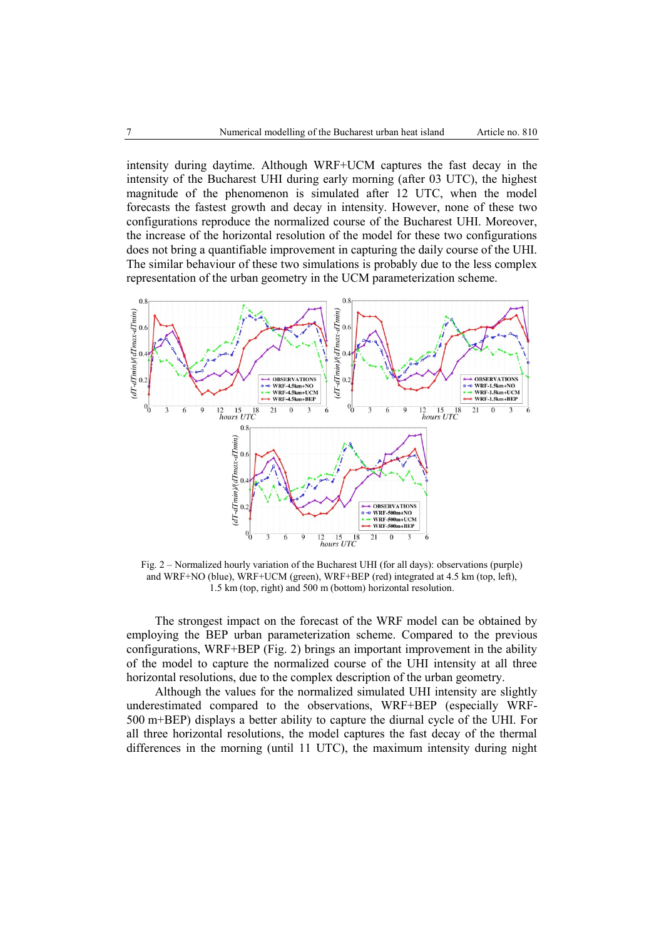intensity during daytime. Although WRF+UCM captures the fast decay in the intensity of the Bucharest UHI during early morning (after 03 UTC), the highest magnitude of the phenomenon is simulated after 12 UTC, when the model forecasts the fastest growth and decay in intensity. However, none of these two configurations reproduce the normalized course of the Bucharest UHI. Moreover, the increase of the horizontal resolution of the model for these two configurations does not bring a quantifiable improvement in capturing the daily course of the UHI. The similar behaviour of these two simulations is probably due to the less complex representation of the urban geometry in the UCM parameterization scheme.



Fig. 2 – Normalized hourly variation of the Bucharest UHI (for all days): observations (purple) and WRF+NO (blue), WRF+UCM (green), WRF+BEP (red) integrated at 4.5 km (top, left), 1.5 km (top, right) and 500 m (bottom) horizontal resolution.

The strongest impact on the forecast of the WRF model can be obtained by employing the BEP urban parameterization scheme. Compared to the previous configurations, WRF+BEP (Fig. 2) brings an important improvement in the ability of the model to capture the normalized course of the UHI intensity at all three horizontal resolutions, due to the complex description of the urban geometry.

Although the values for the normalized simulated UHI intensity are slightly underestimated compared to the observations, WRF+BEP (especially WRF-500 m+BEP) displays a better ability to capture the diurnal cycle of the UHI. For all three horizontal resolutions, the model captures the fast decay of the thermal differences in the morning (until 11 UTC), the maximum intensity during night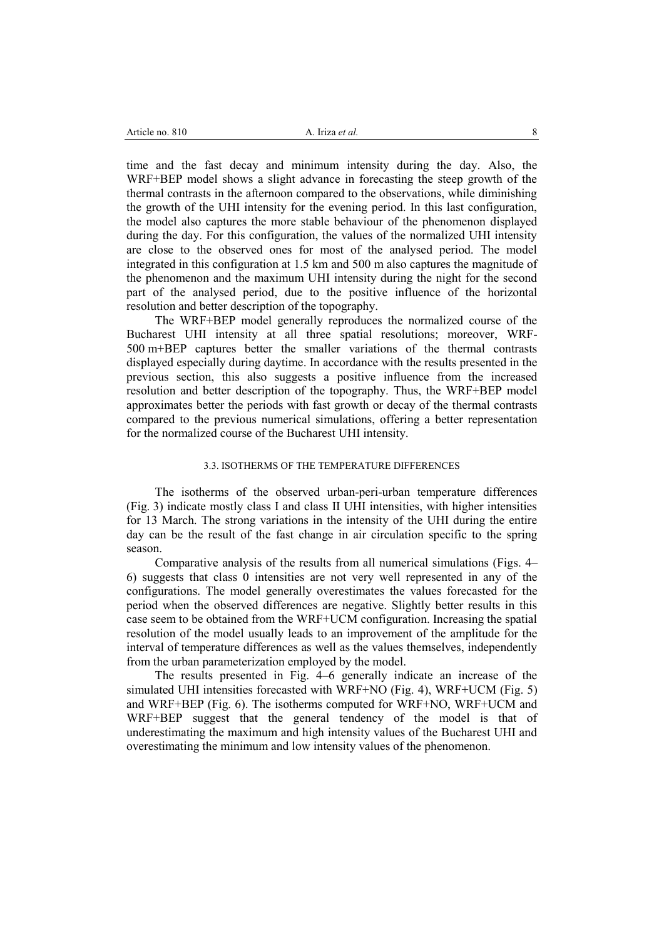time and the fast decay and minimum intensity during the day. Also, the WRF+BEP model shows a slight advance in forecasting the steep growth of the thermal contrasts in the afternoon compared to the observations, while diminishing the growth of the UHI intensity for the evening period. In this last configuration, the model also captures the more stable behaviour of the phenomenon displayed during the day. For this configuration, the values of the normalized UHI intensity are close to the observed ones for most of the analysed period. The model integrated in this configuration at 1.5 km and 500 m also captures the magnitude of the phenomenon and the maximum UHI intensity during the night for the second part of the analysed period, due to the positive influence of the horizontal resolution and better description of the topography.

The WRF+BEP model generally reproduces the normalized course of the Bucharest UHI intensity at all three spatial resolutions; moreover, WRF-500 m+BEP captures better the smaller variations of the thermal contrasts displayed especially during daytime. In accordance with the results presented in the previous section, this also suggests a positive influence from the increased resolution and better description of the topography. Thus, the WRF+BEP model approximates better the periods with fast growth or decay of the thermal contrasts compared to the previous numerical simulations, offering a better representation for the normalized course of the Bucharest UHI intensity.

## 3.3. ISOTHERMS OF THE TEMPERATURE DIFFERENCES

The isotherms of the observed urban-peri-urban temperature differences (Fig. 3) indicate mostly class I and class II UHI intensities, with higher intensities for 13 March. The strong variations in the intensity of the UHI during the entire day can be the result of the fast change in air circulation specific to the spring season.

Comparative analysis of the results from all numerical simulations (Figs. 4– 6) suggests that class 0 intensities are not very well represented in any of the configurations. The model generally overestimates the values forecasted for the period when the observed differences are negative. Slightly better results in this case seem to be obtained from the WRF+UCM configuration. Increasing the spatial resolution of the model usually leads to an improvement of the amplitude for the interval of temperature differences as well as the values themselves, independently from the urban parameterization employed by the model.

The results presented in Fig. 4–6 generally indicate an increase of the simulated UHI intensities forecasted with WRF+NO (Fig. 4), WRF+UCM (Fig. 5) and WRF+BEP (Fig. 6). The isotherms computed for WRF+NO, WRF+UCM and WRF+BEP suggest that the general tendency of the model is that of underestimating the maximum and high intensity values of the Bucharest UHI and overestimating the minimum and low intensity values of the phenomenon.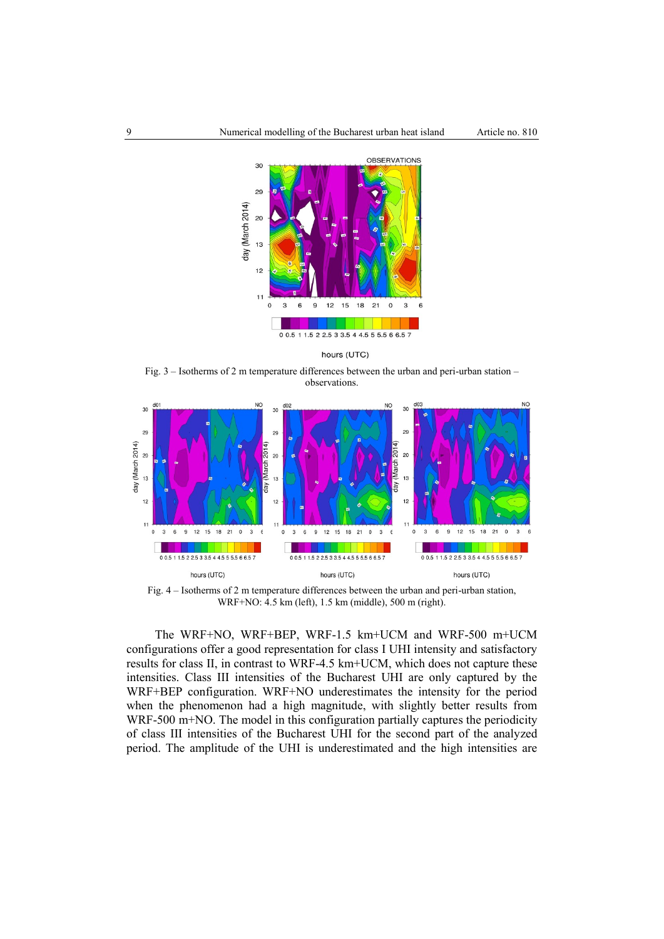

hours (UTC)

Fig. 3 – Isotherms of 2 m temperature differences between the urban and peri-urban station – observations.



Fig. 4 – Isotherms of 2 m temperature differences between the urban and peri-urban station, WRF+NO: 4.5 km (left), 1.5 km (middle), 500 m (right).

The WRF+NO, WRF+BEP, WRF-1.5 km+UCM and WRF-500 m+UCM configurations offer a good representation for class I UHI intensity and satisfactory results for class II, in contrast to WRF-4.5 km+UCM, which does not capture these intensities. Class III intensities of the Bucharest UHI are only captured by the WRF+BEP configuration. WRF+NO underestimates the intensity for the period when the phenomenon had a high magnitude, with slightly better results from WRF-500 m+NO. The model in this configuration partially captures the periodicity of class III intensities of the Bucharest UHI for the second part of the analyzed period. The amplitude of the UHI is underestimated and the high intensities are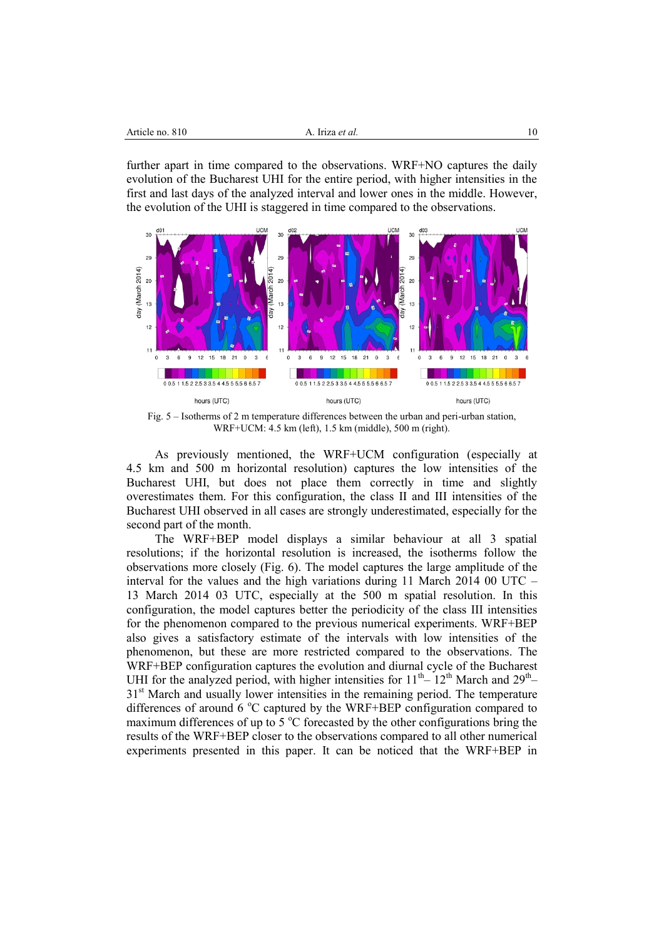| Article no. 810 | A. Irīza <i>et al</i> . |  |
|-----------------|-------------------------|--|
|                 |                         |  |

further apart in time compared to the observations. WRF+NO captures the daily evolution of the Bucharest UHI for the entire period, with higher intensities in the first and last days of the analyzed interval and lower ones in the middle. However, the evolution of the UHI is staggered in time compared to the observations.



Fig. 5 – Isotherms of 2 m temperature differences between the urban and peri-urban station, WRF+UCM: 4.5 km (left), 1.5 km (middle), 500 m (right).

As previously mentioned, the WRF+UCM configuration (especially at 4.5 km and 500 m horizontal resolution) captures the low intensities of the Bucharest UHI, but does not place them correctly in time and slightly overestimates them. For this configuration, the class II and III intensities of the Bucharest UHI observed in all cases are strongly underestimated, especially for the second part of the month.

The WRF+BEP model displays a similar behaviour at all 3 spatial resolutions; if the horizontal resolution is increased, the isotherms follow the observations more closely (Fig. 6). The model captures the large amplitude of the interval for the values and the high variations during 11 March 2014 00 UTC – 13 March 2014 03 UTC, especially at the 500 m spatial resolution. In this configuration, the model captures better the periodicity of the class III intensities for the phenomenon compared to the previous numerical experiments. WRF+BEP also gives a satisfactory estimate of the intervals with low intensities of the phenomenon, but these are more restricted compared to the observations. The WRF+BEP configuration captures the evolution and diurnal cycle of the Bucharest UHI for the analyzed period, with higher intensities for  $11<sup>th</sup> - 12<sup>th</sup>$  March and  $29<sup>th</sup>$ 31<sup>st</sup> March and usually lower intensities in the remaining period. The temperature differences of around 6  $\degree$ C captured by the WRF+BEP configuration compared to maximum differences of up to  $5^{\circ}$ C forecasted by the other configurations bring the results of the WRF+BEP closer to the observations compared to all other numerical experiments presented in this paper. It can be noticed that the WRF+BEP in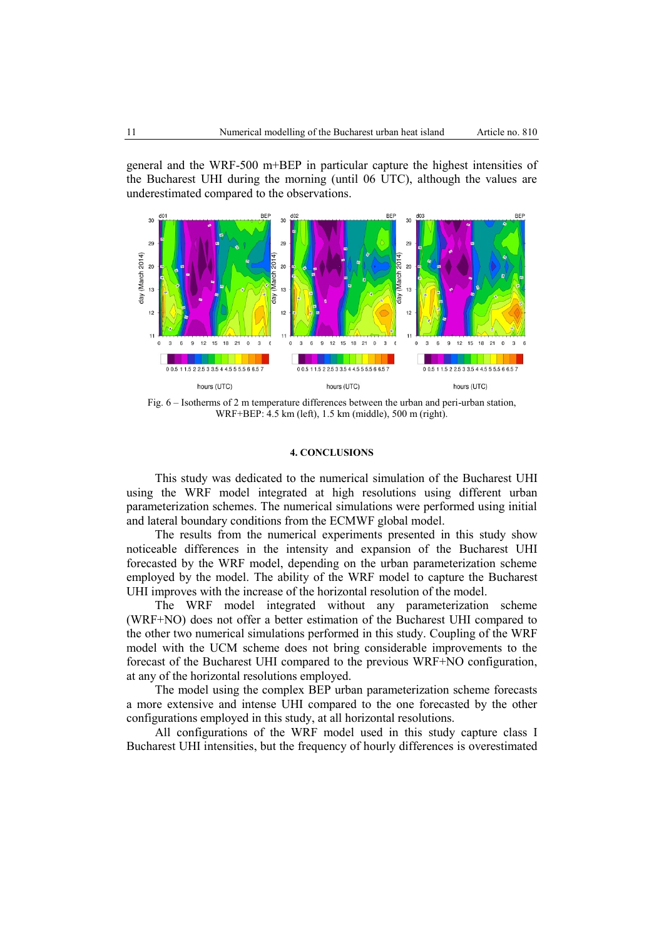general and the WRF-500 m+BEP in particular capture the highest intensities of the Bucharest UHI during the morning (until 06 UTC), although the values are underestimated compared to the observations.



Fig. 6 – Isotherms of 2 m temperature differences between the urban and peri-urban station, WRF+BEP: 4.5 km (left), 1.5 km (middle), 500 m (right).

#### **4. CONCLUSIONS**

This study was dedicated to the numerical simulation of the Bucharest UHI using the WRF model integrated at high resolutions using different urban parameterization schemes. The numerical simulations were performed using initial and lateral boundary conditions from the ECMWF global model.

The results from the numerical experiments presented in this study show noticeable differences in the intensity and expansion of the Bucharest UHI forecasted by the WRF model, depending on the urban parameterization scheme employed by the model. The ability of the WRF model to capture the Bucharest UHI improves with the increase of the horizontal resolution of the model.

The WRF model integrated without any parameterization scheme (WRF+NO) does not offer a better estimation of the Bucharest UHI compared to the other two numerical simulations performed in this study. Coupling of the WRF model with the UCM scheme does not bring considerable improvements to the forecast of the Bucharest UHI compared to the previous WRF+NO configuration, at any of the horizontal resolutions employed.

The model using the complex BEP urban parameterization scheme forecasts a more extensive and intense UHI compared to the one forecasted by the other configurations employed in this study, at all horizontal resolutions.

All configurations of the WRF model used in this study capture class I Bucharest UHI intensities, but the frequency of hourly differences is overestimated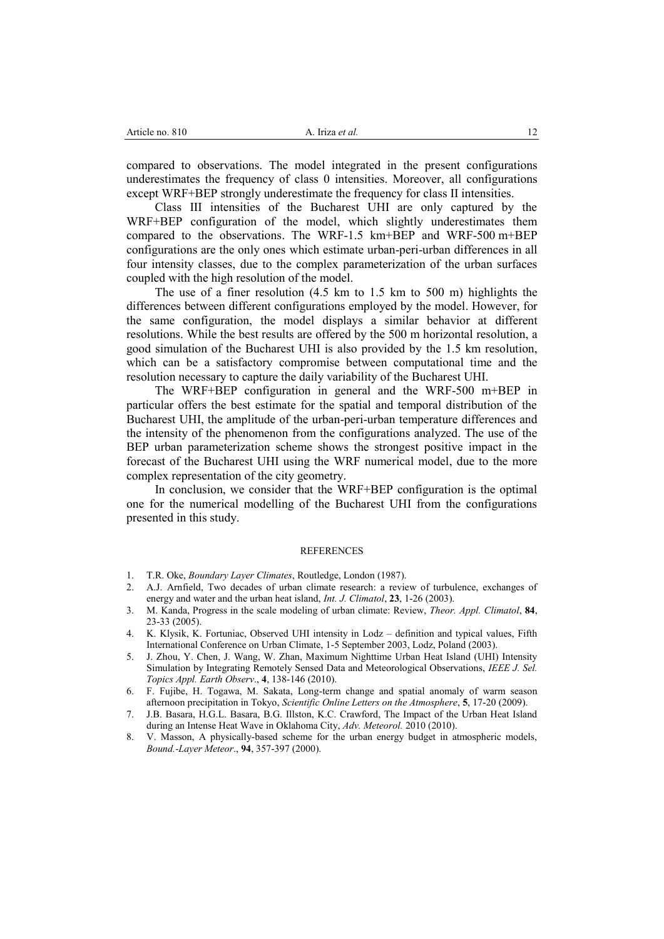compared to observations. The model integrated in the present configurations underestimates the frequency of class 0 intensities. Moreover, all configurations except WRF+BEP strongly underestimate the frequency for class II intensities.

Class III intensities of the Bucharest UHI are only captured by the WRF+BEP configuration of the model, which slightly underestimates them compared to the observations. The WRF-1.5 km+BEP and WRF-500 m+BEP configurations are the only ones which estimate urban-peri-urban differences in all four intensity classes, due to the complex parameterization of the urban surfaces coupled with the high resolution of the model.

The use of a finer resolution (4.5 km to 1.5 km to 500 m) highlights the differences between different configurations employed by the model. However, for the same configuration, the model displays a similar behavior at different resolutions. While the best results are offered by the 500 m horizontal resolution, a good simulation of the Bucharest UHI is also provided by the 1.5 km resolution, which can be a satisfactory compromise between computational time and the resolution necessary to capture the daily variability of the Bucharest UHI.

The WRF+BEP configuration in general and the WRF-500 m+BEP in particular offers the best estimate for the spatial and temporal distribution of the Bucharest UHI, the amplitude of the urban-peri-urban temperature differences and the intensity of the phenomenon from the configurations analyzed. The use of the BEP urban parameterization scheme shows the strongest positive impact in the forecast of the Bucharest UHI using the WRF numerical model, due to the more complex representation of the city geometry.

In conclusion, we consider that the WRF+BEP configuration is the optimal one for the numerical modelling of the Bucharest UHI from the configurations presented in this study.

#### REFERENCES

- 1. T.R. Oke, *Boundary Layer Climates*, Routledge, London (1987).
- 2. A.J. Arnfield, Two decades of urban climate research: a review of turbulence, exchanges of energy and water and the urban heat island, *Int. J. Climatol*, **23**, 1-26 (2003).
- 3. M. Kanda, Progress in the scale modeling of urban climate: Review, *Theor. Appl. Climatol*, **84**, 23-33 (2005).
- 4. K. Klysik, K. Fortuniac, Observed UHI intensity in Lodz definition and typical values, Fifth International Conference on Urban Climate, 1-5 September 2003, Lodz, Poland (2003).
- 5. J. Zhou, Y. Chen, J. Wang, W. Zhan, Maximum Nighttime Urban Heat Island (UHI) Intensity Simulation by Integrating Remotely Sensed Data and Meteorological Observations, *IEEE J. Sel. Topics Appl. Earth Observ*., **4**, 138-146 (2010).
- 6. F. Fujibe, H. Togawa, M. Sakata, Long-term change and spatial anomaly of warm season afternoon precipitation in Tokyo, *Scientific Online Letters on the Atmosphere*, **5**, 17-20 (2009).
- 7. J.B. Basara, H.G.L. Basara, B.G. Illston, K.C. Crawford, The Impact of the Urban Heat Island during an Intense Heat Wave in Oklahoma City, *Adv. Meteorol.* 2010 (2010).
- 8. V. Masson, A physically-based scheme for the urban energy budget in atmospheric models, *Bound.-Layer Meteor*., **94**, 357-397 (2000).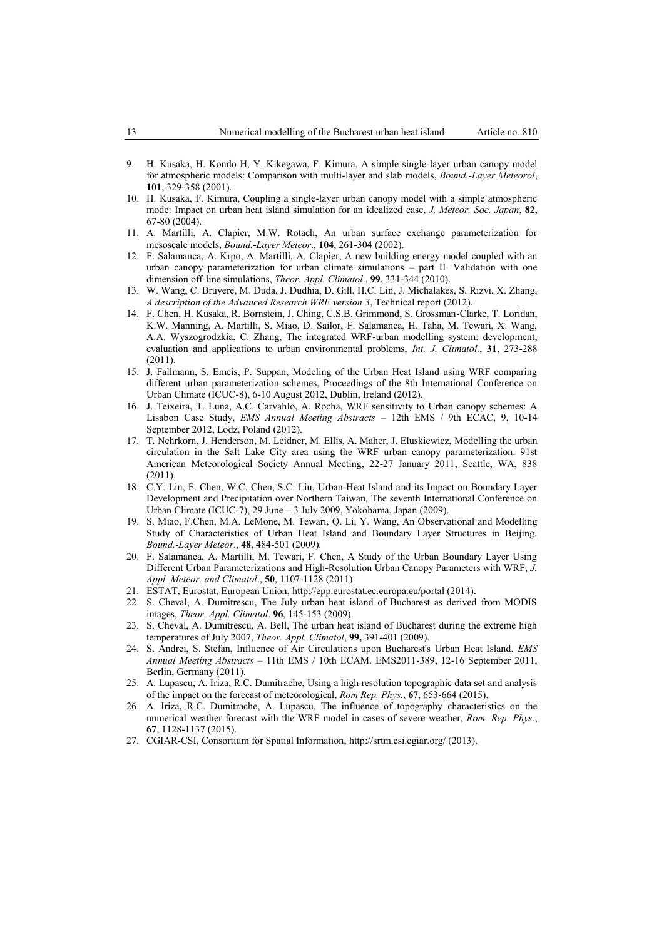- 9. H. Kusaka, H. Kondo H, Y. Kikegawa, F. Kimura, A simple single-layer urban canopy model for atmospheric models: Comparison with multi-layer and slab models, *Bound.-Layer Meteorol*, **101**, 329-358 (2001).
- 10. H. Kusaka, F. Kimura, Coupling a single-layer urban canopy model with a simple atmospheric mode: Impact on urban heat island simulation for an idealized case, *J. Meteor. Soc. Japan*, **82**, 67-80 (2004).
- 11. A. Martilli, A. Clapier, M.W. Rotach, An urban surface exchange parameterization for mesoscale models, *Bound.-Layer Meteor*., **104**, 261-304 (2002).
- 12. F. Salamanca, A. Krpo, A. Martilli, A. Clapier, A new building energy model coupled with an urban canopy parameterization for urban climate simulations – part II. Validation with one dimension off-line simulations, *Theor. Appl. Climatol*., **99**, 331-344 (2010).
- 13. W. Wang, C. Bruyere, M. Duda, J. Dudhia, D. Gill, H.C. Lin, J. Michalakes, S. Rizvi, X. Zhang, *A description of the Advanced Research WRF version 3*, Technical report (2012).
- 14. F. Chen, H. Kusaka, R. Bornstein, J. Ching, C.S.B. Grimmond, S. Grossman-Clarke, T. Loridan, K.W. Manning, A. Martilli, S. Miao, D. Sailor, F. Salamanca, H. Taha, M. Tewari, X. Wang, A.A. Wyszogrodzkia, C. Zhang, The integrated WRF-urban modelling system: development, evaluation and applications to urban environmental problems, *Int. J. Climatol.*, **31**, 273-288 (2011).
- 15. J. Fallmann, S. Emeis, P. Suppan, Modeling of the Urban Heat Island using WRF comparing different urban parameterization schemes, Proceedings of the 8th International Conference on Urban Climate (ICUC-8), 6-10 August 2012, Dublin, Ireland (2012).
- 16. J. Teixeira, T. Luna, A.C. Carvahlo, A. Rocha, WRF sensitivity to Urban canopy schemes: A Lisabon Case Study, *EMS Annual Meeting Abstracts* – 12th EMS / 9th ECAC, 9, 10-14 September 2012, Lodz, Poland (2012).
- 17. T. Nehrkorn, J. Henderson, M. Leidner, M. Ellis, A. Maher, J. Eluskiewicz, Modelling the urban circulation in the Salt Lake City area using the WRF urban canopy parameterization. 91st American Meteorological Society Annual Meeting, 22-27 January 2011, Seattle, WA, 838 (2011).
- 18. C.Y. Lin, F. Chen, W.C. Chen, S.C. Liu, Urban Heat Island and its Impact on Boundary Layer Development and Precipitation over Northern Taiwan, The seventh International Conference on Urban Climate (ICUC-7), 29 June – 3 July 2009, Yokohama, Japan (2009).
- 19. S. Miao, F.Chen, M.A. LeMone, M. Tewari, Q. Li, Y. Wang, An Observational and Modelling Study of Characteristics of Urban Heat Island and Boundary Layer Structures in Beijing, *Bound.-Layer Meteor*., **48**, 484-501 (2009).
- 20. F. Salamanca, A. Martilli, M. Tewari, F. Chen, A Study of the Urban Boundary Layer Using Different Urban Parameterizations and High-Resolution Urban Canopy Parameters with WRF, *J. Appl. Meteor. and Climatol*., **50**, 1107-1128 (2011).
- 21. ESTAT, Eurostat, European Union,<http://epp.eurostat.ec.europa.eu/portal> (2014).
- 22. S. Cheval, A. Dumitrescu, The July urban heat island of Bucharest as derived from MODIS images, *Theor. Appl. Climatol*. **96**, 145-153 (2009).
- 23. S. Cheval, A. Dumitrescu, A. Bell, The urban heat island of Bucharest during the extreme high temperatures of July 2007, *Theor. Appl. Climatol*, **99,** 391-401 (2009).
- 24. S. Andrei, S. Stefan, Influence of Air Circulations upon Bucharest's Urban Heat Island*. EMS Annual Meeting Abstracts* – 11th EMS / 10th ECAM. EMS2011-389, 12-16 September 2011, Berlin, Germany (2011).
- 25. A. Lupascu, A. Iriza, R.C. Dumitrache, Using a high resolution topographic data set and analysis of the impact on the forecast of meteorological, *Rom Rep. Phys.*, **67**, 653-664 (2015).
- 26. A. Iriza, R.C. Dumitrache, A. Lupascu, The influence of topography characteristics on the numerical weather forecast with the WRF model in cases of severe weather, *Rom. Rep. Phys*., **67**, 1128-1137 (2015).
- 27. CGIAR-CSI, Consortium for Spatial Information,<http://srtm.csi.cgiar.org/> (2013).